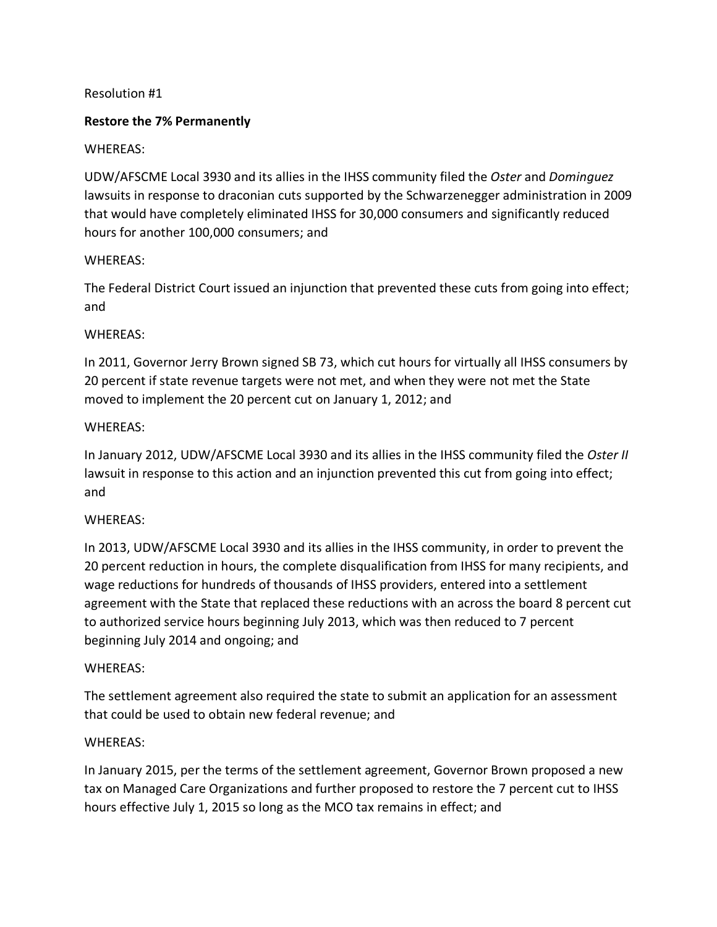# Resolution #1

# **Restore the 7% Permanently**

# WHEREAS:

UDW/AFSCME Local 3930 and its allies in the IHSS community filed the *Oster* and *Dominguez* lawsuits in response to draconian cuts supported by the Schwarzenegger administration in 2009 that would have completely eliminated IHSS for 30,000 consumers and significantly reduced hours for another 100,000 consumers; and

# WHEREAS:

The Federal District Court issued an injunction that prevented these cuts from going into effect; and

# WHEREAS:

In 2011, Governor Jerry Brown signed SB 73, which cut hours for virtually all IHSS consumers by 20 percent if state revenue targets were not met, and when they were not met the State moved to implement the 20 percent cut on January 1, 2012; and

# WHEREAS:

In January 2012, UDW/AFSCME Local 3930 and its allies in the IHSS community filed the *Oster II* lawsuit in response to this action and an injunction prevented this cut from going into effect; and

#### WHEREAS:

In 2013, UDW/AFSCME Local 3930 and its allies in the IHSS community, in order to prevent the 20 percent reduction in hours, the complete disqualification from IHSS for many recipients, and wage reductions for hundreds of thousands of IHSS providers, entered into a settlement agreement with the State that replaced these reductions with an across the board 8 percent cut to authorized service hours beginning July 2013, which was then reduced to 7 percent beginning July 2014 and ongoing; and

#### WHEREAS:

The settlement agreement also required the state to submit an application for an assessment that could be used to obtain new federal revenue; and

#### WHEREAS:

In January 2015, per the terms of the settlement agreement, Governor Brown proposed a new tax on Managed Care Organizations and further proposed to restore the 7 percent cut to IHSS hours effective July 1, 2015 so long as the MCO tax remains in effect; and